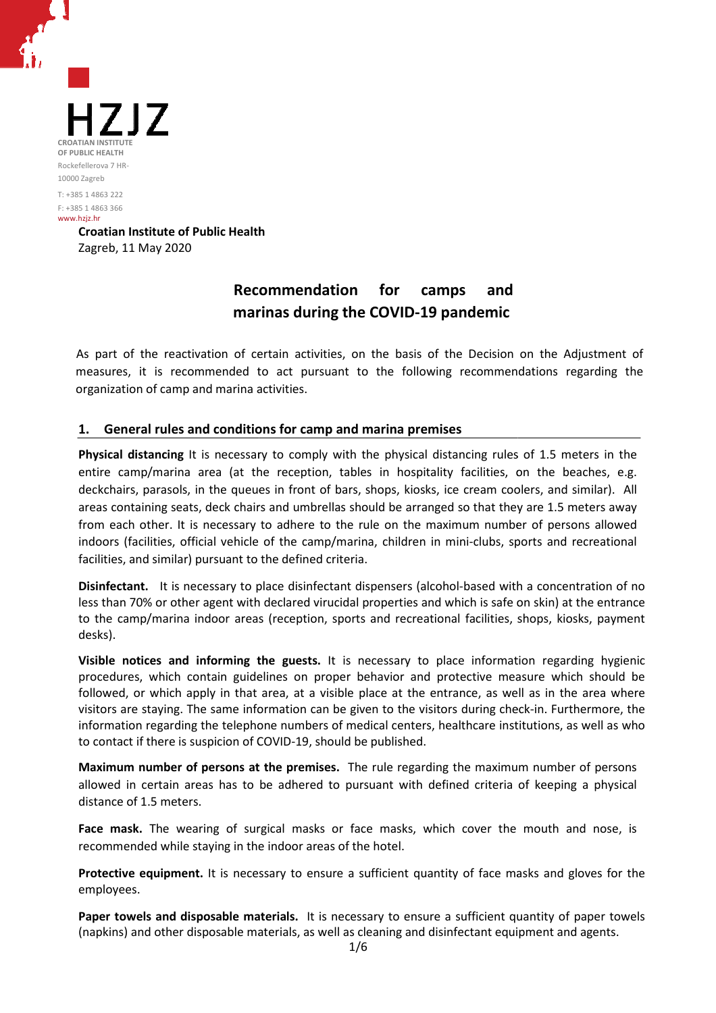

# **Recommendation for camps and marinas during the COVID COVID-19 pandemic**

As part of the reactivation of certain activities, on the basis of the Decision on the Adjustment of measures, it is recommended to act pursuant to the following recommendations recommendations regarding the organization of camp and marina activities.

## **1. General rules and conditions for camp and marina premises**

Physical distancing It is necessary to comply with the physical distancing rules of 1.5 meters in the entire camp/marina area (at the reception, tables in hospitality facilities, on the beaches, e.g. deckchairs, parasols, in the queues in front of bars, shops, kiosks, ice cream coolers, and similar). All areas containing seats, deck chairs and umbrellas should be arranged so that they are 1.5 meters away from each other. It is necessary to adhere to the rule on the maximum number of persons allowed indoors (facilities, official vehicle of the camp/marina, children in mini-clubs, sports and recreational facilities, and similar) pursuant to the defined criteria. um number of persons allowed<br>ni-clubs, sports and recreational<br>based with a concentration of no<br>ich is safe on skin) at the entrance

Disinfectant. It is necessary to place disinfectant dispensers (alcohol-based with a concentration of no less than 70% or other agent with declared virucidal properties and which is safe on skin to the camp/marina indoor areas (reception, sports and recreational facilities, shops, kiosks, payment desks).

Visible notices and informing the guests. It is necessary to place information regarding hygienic procedures, which contain guidelines on proper behavior and protective measure which should be followed, or which apply in that area, at a visible place at the entrance, as well as in the area where visitors are staying. The same information can be given to the visitors during check-in. Furthermore, the information regarding the telephone numbers of medical centers, healthcare institutions, as well as who to contact if there is suspicion of COVID-19, should be published.

**Maximum number of persons at the premises.**  The rule regarding the maximum number of persons allowed in certain areas has to be adhered to pursuant with defined criteria of keeping a physical distance of 1.5 meters.

**Face mask.** The wearing of surgical masks or face masks, which cover the mouth and nose, is recommended while staying in the indoor areas of the hotel.

Protective equipment. It is necessary to ensure a sufficient quantity of face masks and gloves for the employees.

Paper towels and disposable materials. It is necessary to ensure a sufficient quantity of paper towels (napkins) and other disposable materials, as well as cleaning and disinfectant equipment and agents.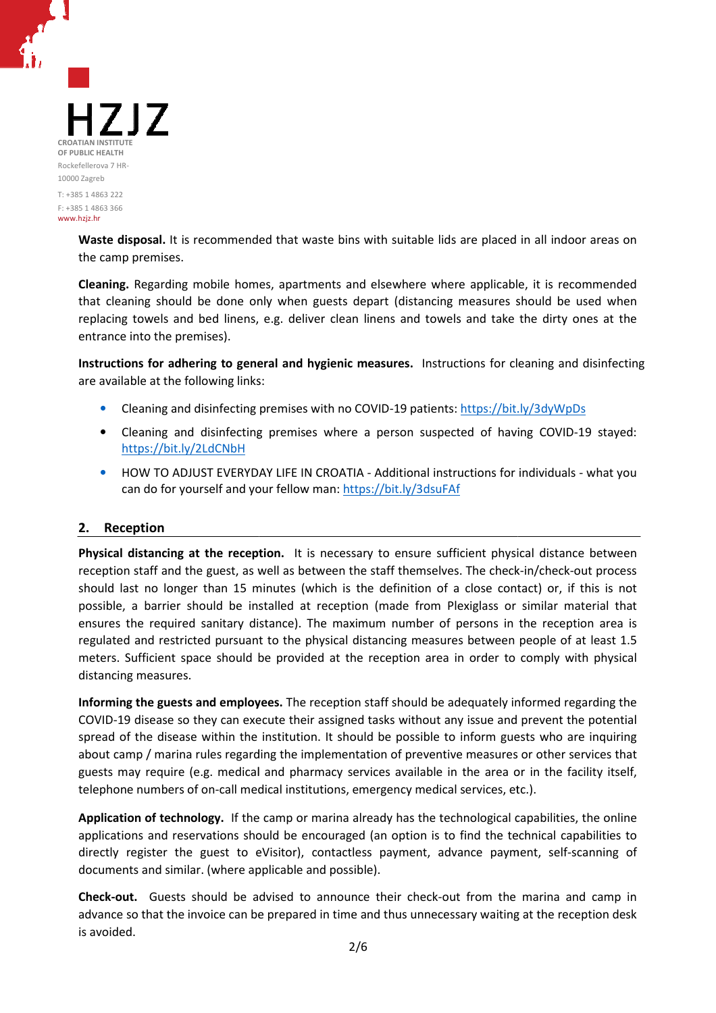

Waste disposal. It is recommended that waste bins with suitable lids are placed in all indoor areas on the camp premises.

**Cleaning.** Regarding mobile homes, apartments and elsewhere where applicable, it is recommended that cleaning should be done only when guests depart (distancing measures should be used when replacing towels and bed linens, e.g. deliver clean linens and towels and take the dirty ones at the entrance into the premises). m guests depart (distancing measures should be used when<br>liver clean linens and towels and take the dirty ones at the<br>**l**<br>**hygienic measures.** Instructions for cleaning and disinfecting<br>as with no COVID-19 patients: https:

Instructions for adhering to general and hygienic measures. Instructions for cleaning and disinfecting are available at the following links:

- Cleaning and disinfecting premises with no COVID-19 patients: https://bit.ly/3dyWpDs
- Cleaning and disinfecting premises where a person suspected of having COVID-19 stayed: https://bit.ly/2LdCNbH
- HOW TO ADJUST EVERYDAY LIFE IN CROATIA Additional instructions for individuals what you can do for yourself and your fellow man: https://bit.ly/3dsuFAf

## **2. Reception**

Physical distancing at the reception. It is necessary to ensure sufficient physical distance between reception staff and the guest, as well as between the staff themselves. The check-in/check-out process should last no longer than 15 minutes (which is the definition of a close contact) or, if this is not possible, a barrier should be installed at reception (made from Plexiglass or similar material that ensures the required sanitary distance). The maximum number of persons in the reception area is regulated and restricted pursuant to the physical distancing measures between people of at least 1.5 meters. Sufficient space should be provided at the reception area in order to comply with physical distancing measures.

Informing the guests and employees. The reception staff should be adequately informed regarding the COVID-19 disease so they can execute their assigned tasks without any issue and prevent the potential COVID-19 disease so they can execute their assigned tasks without any issue and prevent the potential spread of the disease within the institution. It should be possible to inform guests who are inquiring about camp / marina rules regarding the implementation of preventive measures or other services that guests may require (e.g. medical and pharmacy services available in the area or in the facility itself, telephone numbers of on-call medical institutions, emergency medical services, etc.). ber of persons in the reception area is<br>measures between people of at least 1.5<br>n area in order to comply with physical<br>ald be adequately informed regarding the<br>thout any issue and prevent the potential<br>sible to inform gue

**Application of technology.** If the camp or marina already has the technological capabilities, the online telephone numbers of on-call medical institutions, emergency medical services, etc.).<br>**Application of technology.** If the camp or marina already has the technological capabilities, the online<br>applications and reservations directly register the guest to eVisitor), contactless payment, advance payment documents and similar. (where applicable and possible).

Check-out. Guests should be advised to announce their check-out from the marina and camp in advance so that the invoice can be prepared in time and thus unnecessary waiting at the reception desk is avoided.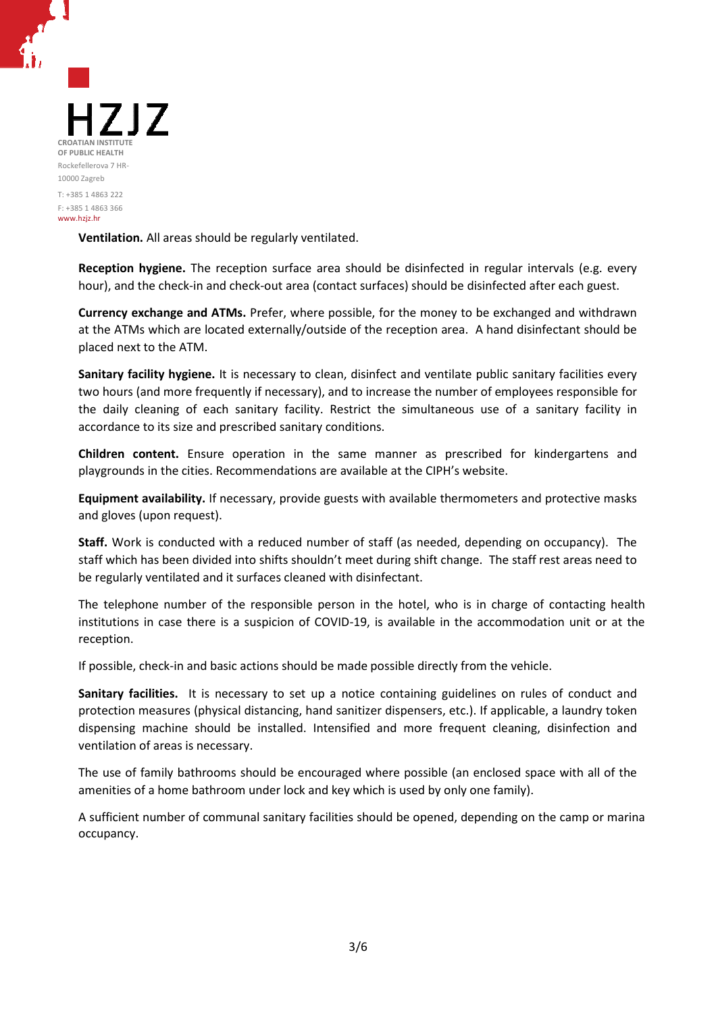

**Ventilation.** All areas should be regularly ventilated.

**Reception hygiene.** The reception surface area should be disinfected in regular intervals (e.g. every hour), and the check-in and check-out area (contact surfaces) should be disinfected after each guest.

**Currency exchange and ATMs.** Prefer, where possible, for the money to be exchanged and withdrawn at the ATMs which are located externally/outside of the reception area. A hand disinfectant should be placed next to the ATM.

Sanitary facility hygiene. It is necessary to clean, disinfect and ventilate public sanitary facilities every two hours (and more frequently if necessary), and to increase the number of employees responsible for the daily cleaning of each sanitary facility. Restrict the simultaneous use of a sanitary facility in accordance to its size and prescribed sanitary conditions. out area (contact surfaces) should be disinfected after each guest.<br>Fer, where possible, for the money to be exchanged and withdrawn<br>ernally/outside of the reception area. A hand disinfectant should be<br>sessary to clean, di

Children content. Ensure operation in the same manner as prescribed for kindergartens and playgrounds in the cities. Recommendations are available at the CIPH's website.

Equipment availability. If necessary, provide guests with available thermometers and protective masks and gloves (upon request).

**Staff.** Work is conducted with a reduced number of staff (as needed, depending on occupancy). The staff which has been divided into shifts shouldn't meet during shift change. The staff rest areas need to be regularly ventilated and it surfaces cleaned with disinfectant.

The telephone number of the responsible person in the hotel, who is in charge of contacting health institutions in case there is a suspicion of COVID-19, is available in the accommodation unit or at the reception.

If possible, check-in and basic actions should be made possible directly from the vehicle.

If possible, check-in and basic actions should be made possible directly from the vehicle.<br>**Sanitary facilities.** It is necessary to set up a notice containing guidelines on rules of conduct and protection measures (physical distancing, hand sanitizer dispensers, etc.). If applicable, a laundry token dispensing machine should be installed. Intensified and more frequent cleaning, disinfection and ventilation of areas is necessary.

The use of family bathrooms should be encouraged where possible (an enclosed space amenities of a home bathroom under lock and key which is used by only one family).

A sufficient number of communal sanitary facilities should be opened, depending on the camp or marina occupancy.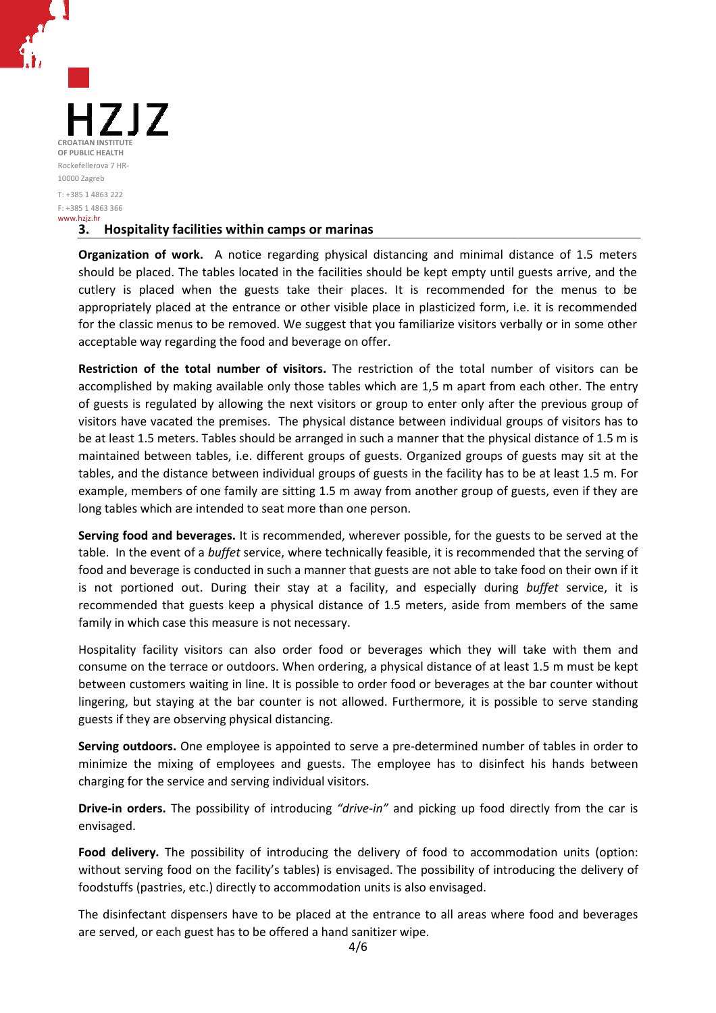

## **3. Hospitality facilities within camps or marinas**

Organization of work. A notice regarding physical distancing and minimal distance of 1.5 meters should be placed. The tables located in the facilities should be kept empty until guests arrive, and the cutlery is placed when the guests take their places. It is recommended for the menus to be appropriately placed at the entrance or other visible place in plasticized form, i.e. it is recommended for the classic menus to be removed. We suggest that you familiarize visitors verbally or in some other acceptable way regarding the food and beverage on offer.

Restriction of the total number of visitors. The restriction of the total number of visitors can be accomplished by making available only those tables which are 1,5 m apart from each other. The entry of guests is regulated by allowing the next visitors or group to enter only after the previous group of visitors have vacated the premises. The physical distance between individual groups of visitors has to be at least 1.5 meters. Tables should be arranged in such a manner that the physical distance of 1.5 m is maintained between tables, i.e. different groups of guests. Organized groups of guests may sit at the tables, and the distance between individual groups of guests in the f facility has to be at least 1.5 m. For example, members of one family are sitting 1.5 m away from another group of guests, even if they are long tables which are intended to seat more than one person. e visitors verbally or in some other<br>
e total number of visitors can be<br>
n apart from each other. The entry<br>
er only after the previous group of<br>
individual groups of visitors has to<br>
nat the physical distance of 1.5 m is<br>

**Serving food and beverages.** It is recommended, wherever possible, for the guests to be served at the table. In the event of a *buffet* service, where technically feasible, it is recommended that the serving of food and beverage is conducted in such a manner that guests are not able to take food on their own if is not portioned out. During their stay at a facility, and especially during *buffet* service, it is recommended that guests keep a physical distance of 1.5 meters, aside from members of the same family in which case this measure is not necessary.

Hospitality facility visitors can also order food or beverages which they will take with them and consume on the terrace or outdoors. When ordering, a physical distance of at least 1.5 m must be kept between customers waiting in line. It is possible to order food or beverages at the bar counter without lingering, but staying at the bar counter is not allowed. Furthermore, it is possible to serve standing guests if they are observing physical distancing distancing. e is not necessary.<br>also order food or beverages which they will take<br>oors. When ordering, a physical distance of at least 1.5<br>ne. It is possible to order food or beverages at the bar

Serving outdoors. One employee is appointed to serve a pre-determined number of tables in order to minimize the mixing of employees and guests. The employee has to disinfect his hands between charging for the service and serving individual visitors.

Drive-in orders. The possibility of introducing "drive-in" and picking up food directly from the car is envisaged.

**Food delivery.** The possibility of introducing the delivery of food to accommodation units (option: without serving food on the facility's tables) is envisaged. The possibility of introducing the delivery of foodstuffs (pastries, etc.) directly to accommodation units is also envisaged.

The disinfectant dispensers have to be placed at the entrance to all areas where food and beverages are served, or each guest has to be offered a ha hand sanitizer wipe.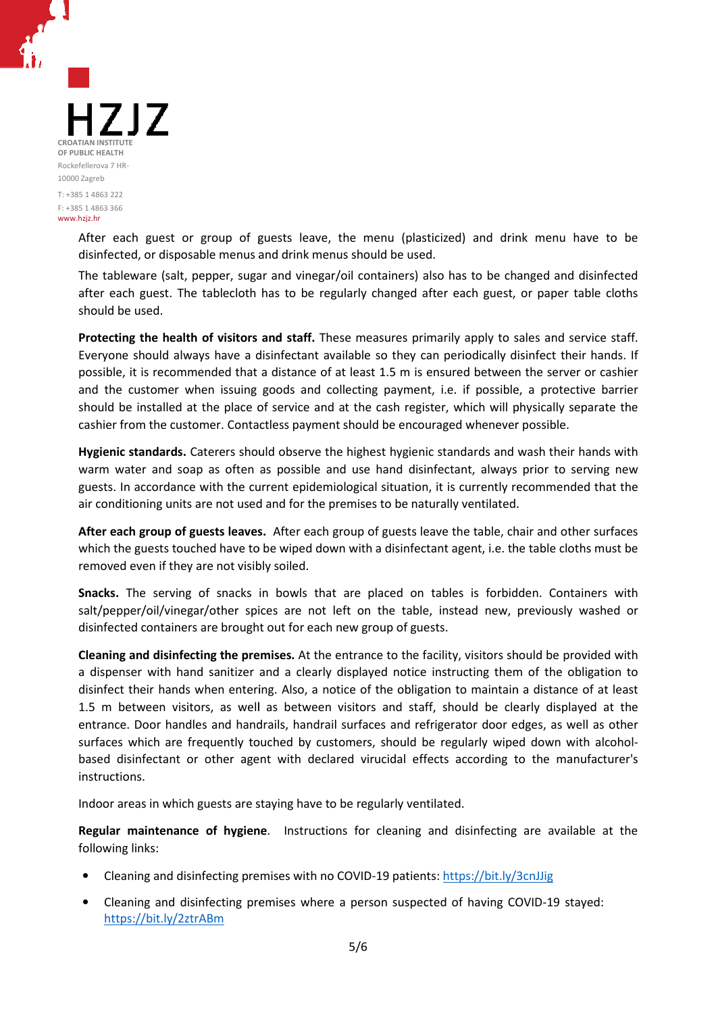

After each guest or group of guests leave, the menu (plasticized) and drink menu have to be disinfected, or disposable menus and drink menus should be used.

The tableware (salt, pepper, sugar and vinegar/oil containers) also has to be changed and disinfected after each guest. The tablecloth has to be regularly changed after each guest, or paper table cloths should be used.

Protecting the health of visitors and staff. These measures primarily apply to sales and service staff. Everyone should always have a disinfectant available so they can periodically disinfect their hands. If possible, it is recommended that a distance of at least 1.5 m is ensured between the server or cashier and the customer when issuing goods and collecting payment, i.e. if possible, a protective barrier should be installed at the place of service and at the cash register, which will physically separate the cashier from the customer. Contactless payment should be encouraged whenever possible. Fier, which will physically separate the<br>ter, which will physically separate the<br>raged whenever possible.<br>c standards and wash their hands with<br>fectant, always prior to serving new

Hygienic standards. Caterers should observe the highest hygienic standards and wash their hands with warm water and soap as often as possible and use hand disinfectant, always guests. In accordance with the current epidemiological situation, it is currently recommended that the air conditioning units are not used and for the premises to be naturally ventilated.

After each group of guests leaves. After each group of guests leave the table, chair and other surfaces which the guests touched have to be wiped down with a disinfectant agent, i.e. the table cloths must be removed even if they are not visibly soiled.

**Snacks.** The serving of snacks in bowls that are placed on tables is forbidden. Containers with salt/pepper/oil/vinegar/other spices are not left on the table, instead new, previously washed or disinfected containers are brought out for each new group of guests. ly recommended that the<br>ted.<br>
e, chair and other surfaces<br>
e. the table cloths must be<br>
rbidden. Containers with<br>
w, previously washed or<br>
s should be provided with<br>
hem of the obligation to

**Cleaning and disinfecting the premises.**  At the entrance to the facility, visitors should be provided with a dispenser with hand sanitizer and a clearly displayed notice instructing them of disinfect their hands when entering. Also, a notice of the obligation to maintain a distance of at least 1.5 m between visitors, as well as between visitors and staff, should be clearly displayed at the entrance. Door handles and handrails, handrail surfaces and refrigerator door edges, as well as other surfaces which are frequently touched by customers, should be regularly wiped down with alcoholbased disinfectant or other agent with declared virucidal effects according to the manufacturer's instructions.

Indoor areas in which guests are staying have to be regularly ventilated.

Regular maintenance of hygiene. Instructions for cleaning and disinfecting are available at the following links: ed virucidal effects according to the manufact<br>be regularly ventilated.<br>Is for cleaning and disinfecting are available a<br>COVID-19 patients: https://bit.ly/3cnJJig<br>a person suspected of having COVID-19 stayed:

- Cleaning and disinfecting premises with no COVID-19 patients: https://bit.ly/3cnJJig
- Cleaning and disinfecting premises where a person suspected of having COVID-19 stayed: https://bit.ly/2ztrABm